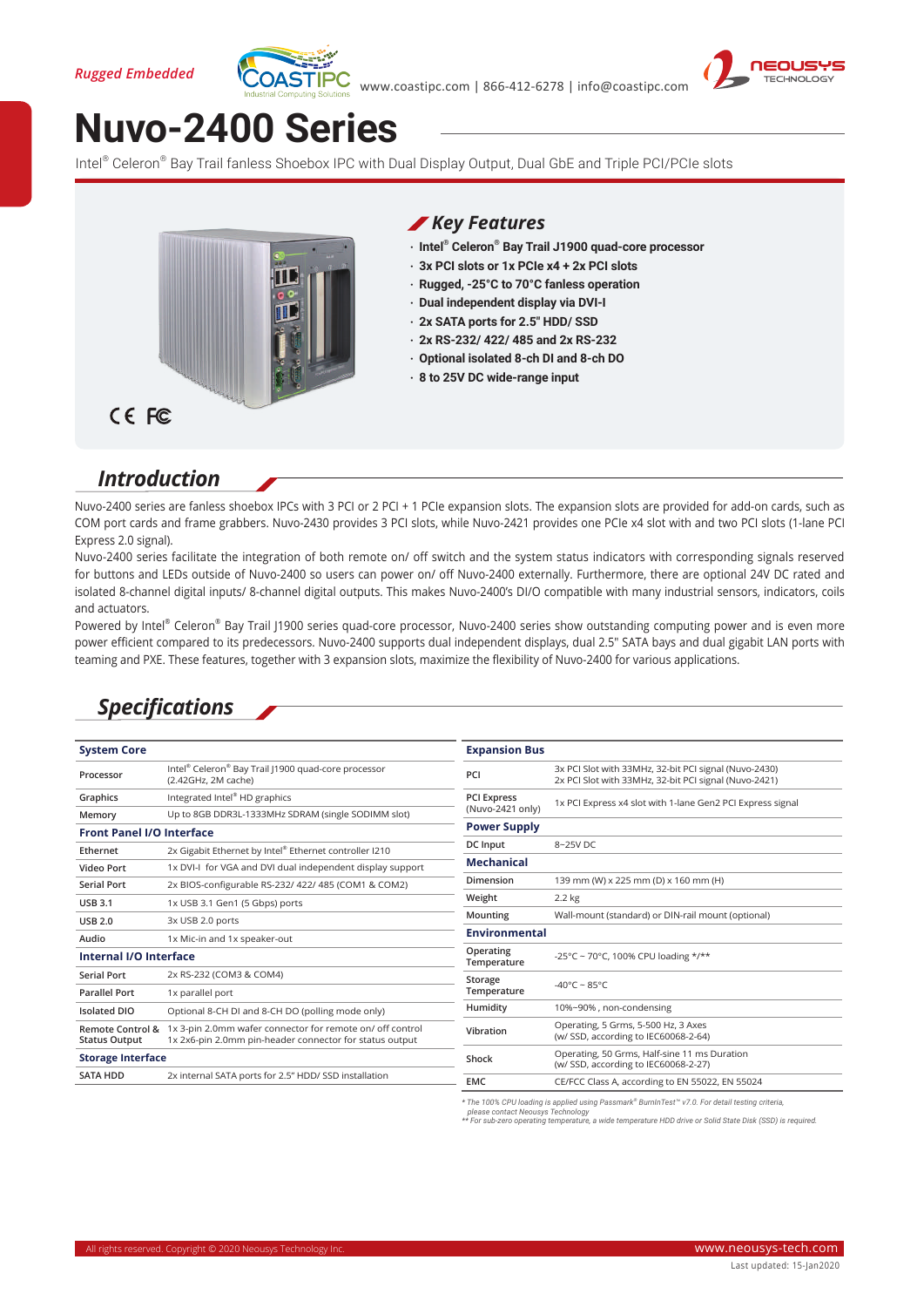



# **Nuvo-2400 Series**

Intel® Celeron® Bay Trail fanless Shoebox IPC with Dual Display Output, Dual GbE and Triple PCI/PCIe slots



#### *Key Features*

- **‧ Intel® Celeron® Bay Trail J1900 quad-core processor**
- **‧ 3x PCI slots or 1x PCIe x4 + 2x PCI slots**
- **‧ Rugged, -25°C to 70°C fanless operation**
- **‧ Dual independent display via DVI-I**
- **‧ 2x SATA ports for 2.5" HDD/ SSD**
- **‧ 2x RS-232/ 422/ 485 and 2x RS-232**
- **‧ Optional isolated 8-ch DI and 8-ch DO**
- **‧ 8 to 25V DC wide-range input**

### *Introduction*

Nuvo-2400 series are fanless shoebox IPCs with 3 PCI or 2 PCI + 1 PCIe expansion slots. The expansion slots are provided for add-on cards, such as COM port cards and frame grabbers. Nuvo-2430 provides 3 PCI slots, while Nuvo-2421 provides one PCIe x4 slot with and two PCI slots (1-lane PCI Express 2.0 signal).

Nuvo-2400 series facilitate the integration of both remote on/ off switch and the system status indicators with corresponding signals reserved for buttons and LEDs outside of Nuvo-2400 so users can power on/ off Nuvo-2400 externally. Furthermore, there are optional 24V DC rated and isolated 8-channel digital inputs/ 8-channel digital outputs. This makes Nuvo-2400's DI/O compatible with many industrial sensors, indicators, coils and actuators.

Powered by Intel® Celeron® Bay Trail J1900 series quad-core processor, Nuvo-2400 series show outstanding computing power and is even more power efficient compared to its predecessors. Nuvo-2400 supports dual independent displays, dual 2.5" SATA bays and dual gigabit LAN ports with teaming and PXE. These features, together with 3 expansion slots, maximize the flexibility of Nuvo-2400 for various applications.

## *Specifications*

| <b>System Core</b>                                  |                                                                                                                      | <b>Expansion Bus</b>                   |                                                                                                                |
|-----------------------------------------------------|----------------------------------------------------------------------------------------------------------------------|----------------------------------------|----------------------------------------------------------------------------------------------------------------|
| Processor                                           | Intel® Celeron® Bay Trail J1900 quad-core processor<br>(2.42GHz, 2M cache)                                           | PCI                                    | 3x PCI Slot with 33MHz, 32-bit PCI signal (Nuvo-2430)<br>2x PCI Slot with 33MHz, 32-bit PCI signal (Nuvo-2421) |
| Graphics                                            | Integrated Intel® HD graphics                                                                                        | <b>PCI Express</b><br>(Nuvo-2421 only) | 1x PCI Express x4 slot with 1-lane Gen2 PCI Express signal                                                     |
| Memory                                              | Up to 8GB DDR3L-1333MHz SDRAM (single SODIMM slot)                                                                   |                                        |                                                                                                                |
| <b>Front Panel I/O Interface</b>                    |                                                                                                                      | <b>Power Supply</b>                    |                                                                                                                |
| Ethernet                                            | 2x Gigabit Ethernet by Intel® Ethernet controller I210                                                               | DC Input                               | 8~25V DC                                                                                                       |
| <b>Video Port</b>                                   | 1x DVI-I for VGA and DVI dual independent display support                                                            | <b>Mechanical</b>                      |                                                                                                                |
| <b>Serial Port</b>                                  | 2x BIOS-configurable RS-232/ 422/ 485 (COM1 & COM2)                                                                  | Dimension                              | 139 mm (W) x 225 mm (D) x 160 mm (H)                                                                           |
| <b>USB 3.1</b>                                      | 1x USB 3.1 Gen1 (5 Gbps) ports                                                                                       | Weight                                 | 2.2 kg                                                                                                         |
| <b>USB 2.0</b>                                      | 3x USB 2.0 ports                                                                                                     | Mounting                               | Wall-mount (standard) or DIN-rail mount (optional)                                                             |
| Audio                                               | 1x Mic-in and 1x speaker-out                                                                                         | <b>Environmental</b>                   |                                                                                                                |
| Internal I/O Interface                              |                                                                                                                      | Operating<br>Temperature               | -25°C ~ 70°C, 100% CPU loading */**                                                                            |
| <b>Serial Port</b>                                  | 2x RS-232 (COM3 & COM4)                                                                                              | Storage                                | -40°C ~ 85°C                                                                                                   |
| <b>Parallel Port</b>                                | 1x parallel port                                                                                                     | Temperature                            |                                                                                                                |
| <b>Isolated DIO</b>                                 | Optional 8-CH DI and 8-CH DO (polling mode only)                                                                     | Humidity                               | 10%~90%, non-condensing                                                                                        |
| <b>Remote Control &amp;</b><br><b>Status Output</b> | 1x 3-pin 2.0mm wafer connector for remote on/ off control<br>1x 2x6-pin 2.0mm pin-header connector for status output | Vibration                              | Operating, 5 Grms, 5-500 Hz, 3 Axes<br>(w/ SSD, according to IEC60068-2-64)                                    |
| <b>Storage Interface</b>                            |                                                                                                                      | Shock                                  | Operating, 50 Grms, Half-sine 11 ms Duration<br>(w/ SSD, according to IEC60068-2-27)                           |
| <b>SATA HDD</b>                                     | 2x internal SATA ports for 2.5" HDD/ SSD installation                                                                | <b>EMC</b>                             | CE/FCC Class A, according to EN 55022, EN 55024                                                                |
|                                                     |                                                                                                                      |                                        |                                                                                                                |

*\* The 100% CPU loading is applied using Passmark® BurnInTest™ v7.0. For detail testing criteria, please contact Neousys Technology*

*\*\* For sub-zero operating temperature, a wide temperature HDD drive or Solid State Disk (SSD) is required.*